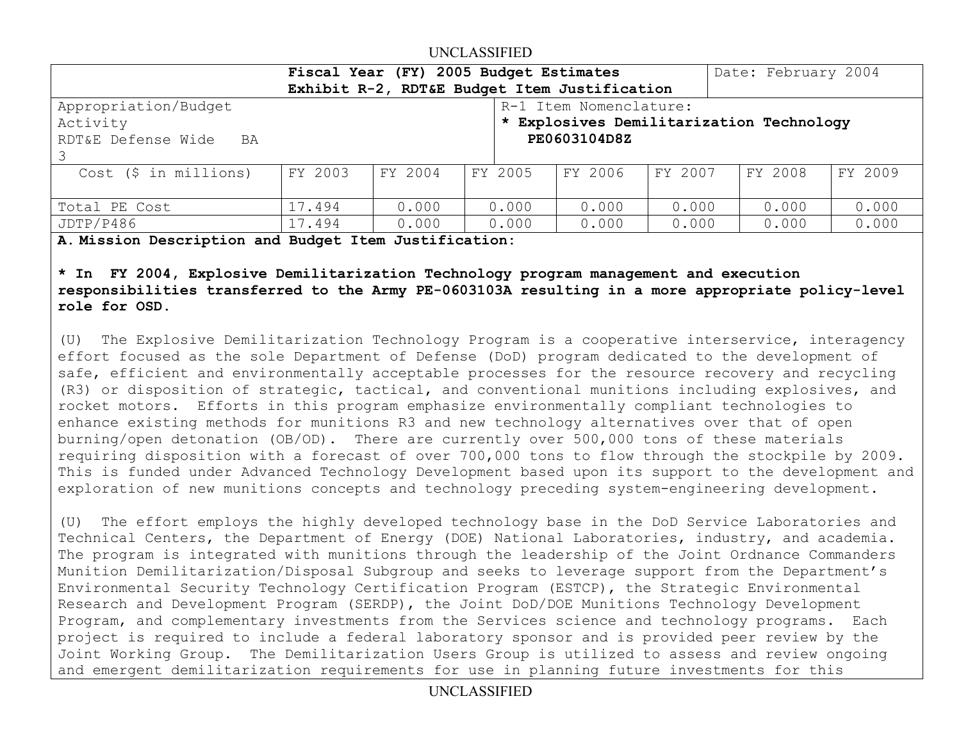## UNCLASSIFIED

|                                              | Fiscal Year (FY) 2005 Budget Estimates |         |       |                                          |         |         | Date: February 2004 |         |
|----------------------------------------------|----------------------------------------|---------|-------|------------------------------------------|---------|---------|---------------------|---------|
| Exhibit R-2, RDT&E Budget Item Justification |                                        |         |       |                                          |         |         |                     |         |
| Appropriation/Budget                         |                                        |         |       | R-1 Item Nomenclature:                   |         |         |                     |         |
| Activity                                     |                                        |         |       | * Explosives Demilitarization Technology |         |         |                     |         |
| RDT&E Defense Wide BA                        |                                        |         |       | PE0603104D8Z                             |         |         |                     |         |
|                                              |                                        |         |       |                                          |         |         |                     |         |
| Cost (\$ in millions)                        | FY 2003                                | FY 2004 |       | FY 2005                                  | FY 2006 | FY 2007 | FY 2008             | FY 2009 |
|                                              |                                        |         |       |                                          |         |         |                     |         |
| Total PE Cost                                | 17.494                                 | 0.000   | 0.000 |                                          | 0.000   | 0.000   | 0.000               | 0.000   |
| JDTP/P486                                    | 17.494                                 | 0.000   | 0.000 |                                          | 0.000   | 0.000   | 0.000               | 0.000   |

**A. Mission Description and Budget Item Justification:** 

**\* In FY 2004, Explosive Demilitarization Technology program management and execution responsibilities transferred to the Army PE-0603103A resulting in a more appropriate policy-level role for OSD.** 

(U) The Explosive Demilitarization Technology Program is a cooperative interservice, interagency effort focused as the sole Department of Defense (DoD) program dedicated to the development of safe, efficient and environmentally acceptable processes for the resource recovery and recycling (R3) or disposition of strategic, tactical, and conventional munitions including explosives, and rocket motors. Efforts in this program emphasize environmentally compliant technologies to enhance existing methods for munitions R3 and new technology alternatives over that of open burning/open detonation (OB/OD). There are currently over 500,000 tons of these materials requiring disposition with a forecast of over 700,000 tons to flow through the stockpile by 2009. This is funded under Advanced Technology Development based upon its support to the development and exploration of new munitions concepts and technology preceding system-engineering development.

(U) The effort employs the highly developed technology base in the DoD Service Laboratories and Technical Centers, the Department of Energy (DOE) National Laboratories, industry, and academia. The program is integrated with munitions through the leadership of the Joint Ordnance Commanders Munition Demilitarization/Disposal Subgroup and seeks to leverage support from the Department's Environmental Security Technology Certification Program (ESTCP), the Strategic Environmental Research and Development Program (SERDP), the Joint DoD/DOE Munitions Technology Development Program, and complementary investments from the Services science and technology programs. Each project is required to include a federal laboratory sponsor and is provided peer review by the Joint Working Group. The Demilitarization Users Group is utilized to assess and review ongoing and emergent demilitarization requirements for use in planning future investments for this